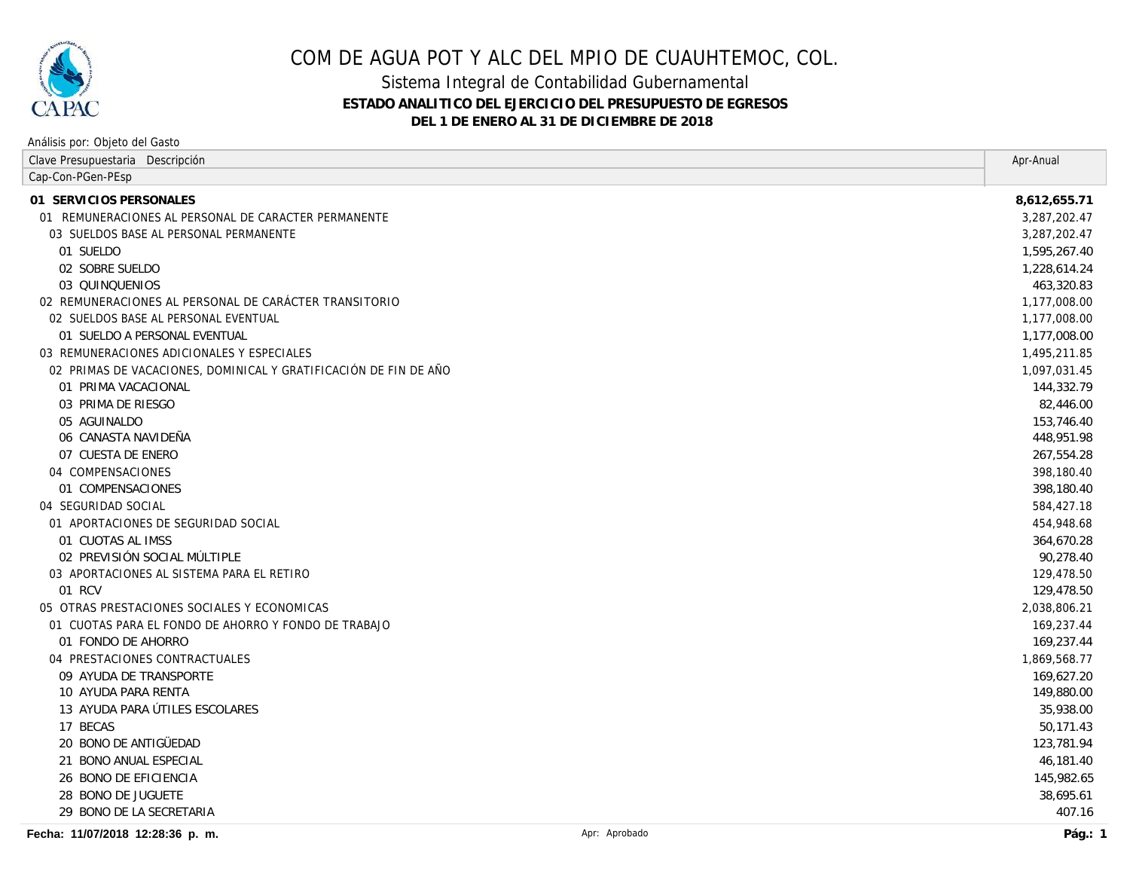

Análisis por: Objeto del Gasto

# COM DE AGUA POT Y ALC DEL MPIO DE CUAUHTEMOC, COL.

### Sistema Integral de Contabilidad Gubernamental **ESTADO ANALITICO DEL EJERCICIO DEL PRESUPUESTO DE EGRESOS DEL 1 DE ENERO AL 31 DE DICIEMBRE DE 2018**

| Clave Presupuestaria Descripción                                 |               | Apr-Anual    |
|------------------------------------------------------------------|---------------|--------------|
| Cap-Con-PGen-PEsp                                                |               |              |
| 01 SERVICIOS PERSONALES                                          |               | 8,612,655.71 |
| 01 REMUNERACIONES AL PERSONAL DE CARACTER PERMANENTE             |               | 3,287,202.47 |
| 03 SUELDOS BASE AL PERSONAL PERMANENTE                           |               | 3,287,202.47 |
| 01 SUELDO                                                        |               | 1,595,267.40 |
| 02 SOBRE SUELDO                                                  |               | 1,228,614.24 |
| 03 QUINQUENIOS                                                   |               | 463,320.83   |
| 02 REMUNERACIONES AL PERSONAL DE CARÁCTER TRANSITORIO            |               | 1,177,008.00 |
| 02 SUELDOS BASE AL PERSONAL EVENTUAL                             |               | 1,177,008.00 |
| 01 SUELDO A PERSONAL EVENTUAL                                    |               | 1,177,008.00 |
| 03 REMUNERACIONES ADICIONALES Y ESPECIALES                       |               | 1,495,211.85 |
| 02 PRIMAS DE VACACIONES, DOMINICAL Y GRATIFICACIÓN DE FIN DE AÑO |               | 1,097,031.45 |
| 01 PRIMA VACACIONAL                                              |               | 144,332.79   |
| 03 PRIMA DE RIESGO                                               |               | 82,446.00    |
| 05 AGUINALDO                                                     |               | 153,746.40   |
| 06 CANASTA NAVIDEÑA                                              |               | 448,951.98   |
| 07 CUESTA DE ENERO                                               |               | 267,554.28   |
| 04 COMPENSACIONES                                                |               | 398,180.40   |
| 01 COMPENSACIONES                                                |               | 398,180.40   |
| 04 SEGURIDAD SOCIAL                                              |               | 584,427.18   |
| 01 APORTACIONES DE SEGURIDAD SOCIAL                              |               | 454,948.68   |
| 01 CUOTAS AL IMSS                                                |               | 364,670.28   |
| 02 PREVISIÓN SOCIAL MÚLTIPLE                                     |               | 90,278.40    |
| 03 APORTACIONES AL SISTEMA PARA EL RETIRO                        |               | 129,478.50   |
| 01 RCV                                                           |               | 129,478.50   |
| 05 OTRAS PRESTACIONES SOCIALES Y ECONOMICAS                      |               | 2,038,806.21 |
| 01 CUOTAS PARA EL FONDO DE AHORRO Y FONDO DE TRABAJO             |               | 169,237.44   |
| 01 FONDO DE AHORRO                                               |               | 169,237.44   |
| 04 PRESTACIONES CONTRACTUALES                                    |               | 1,869,568.77 |
| 09 AYUDA DE TRANSPORTE                                           |               | 169,627.20   |
| 10 AYUDA PARA RENTA                                              |               | 149,880.00   |
| 13 AYUDA PARA ÚTILES ESCOLARES                                   |               | 35,938.00    |
| 17 BECAS                                                         |               | 50,171.43    |
| 20 BONO DE ANTIGÜEDAD                                            |               | 123,781.94   |
| 21 BONO ANUAL ESPECIAL                                           |               | 46,181.40    |
| 26 BONO DE EFICIENCIA                                            |               | 145,982.65   |
| 28 BONO DE JUGUETE                                               |               | 38,695.61    |
| 29 BONO DE LA SECRETARIA                                         |               | 407.16       |
| Fecha: 11/07/2018 12:28:36 p. m.                                 | Apr: Aprobado | Pág.: $1$    |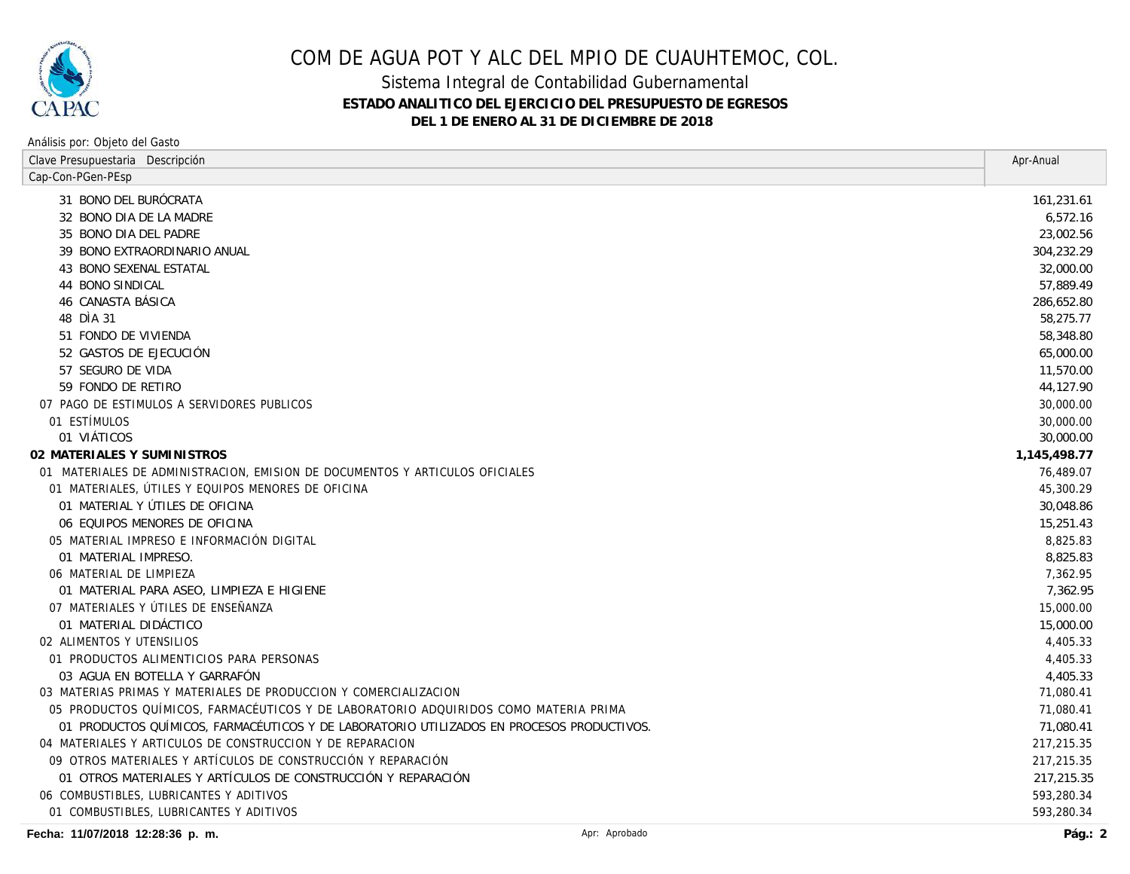

### COM DE AGUA POT Y ALC DEL MPIO DE CUAUHTEMOC, COL.

### Sistema Integral de Contabilidad Gubernamental **ESTADO ANALITICO DEL EJERCICIO DEL PRESUPUESTO DE EGRESOS DEL 1 DE ENERO AL 31 DE DICIEMBRE DE 2018**

#### Clave Presupuestaria Descripción **Apr-Anual Studio de Servero Clave Presupuestaria Descripción** Apr-Anual Apr-Anual Apr-Anual Apr-Anual Apr-Anual Apr-Anual Apr-Anual Apr-Anual Apr-Anual Apr-Anual Apr-Anual Apr-Anual Apr-An Análisis por: Objeto del Gasto Cap-Con-PGen-PEsp *BONO DEL BURÓCRATA 161,231.61 BONO DIA DE LA MADRE 6,572.16 BONO DIA DEL PADRE 23,002.56 BONO EXTRAORDINARIO ANUAL 304,232.29 BONO SEXENAL ESTATAL 32,000.00 BONO SINDICAL 57,889.49 CANASTA BÁSICA 286,652.80 DÌA 31 58,275.77 FONDO DE VIVIENDA 58,348.80 GASTOS DE EJECUCIÓN 65,000.00 SEGURO DE VIDA 11,570.00 FONDO DE RETIRO 44,127.90* PAGO DE ESTIMULOS A SERVIDORES PUBLICOS 30,000.00 ESTÍMULOS 30,000.00 *VIÁTICOS 30,000.00* **MATERIALES Y SUMINISTROS 1,145,498.77** MATERIALES DE ADMINISTRACION, EMISION DE DOCUMENTOS Y ARTICULOS OFICIALES 76,489.07 MATERIALES, ÚTILES Y EQUIPOS MENORES DE OFICINA 45,300.29 *MATERIAL Y ÚTILES DE OFICINA 30,048.86 EQUIPOS MENORES DE OFICINA 15,251.43* MATERIAL IMPRESO E INFORMACIÓN DIGITAL 8,825.83 *MATERIAL IMPRESO. 8,825.83* 06 MATERIAL DE LIMPIEZA 7.362.95 *MATERIAL PARA ASEO, LIMPIEZA E HIGIENE 7,362.95* MATERIALES Y ÚTILES DE ENSEÑANZA 15,000.00 *MATERIAL DIDÁCTICO 15,000.00* ALIMENTOS Y UTENSILIOS 4,405.33 PRODUCTOS ALIMENTICIOS PARA PERSONAS 4,405.33 *AGUA EN BOTELLA Y GARRAFÓN 4,405.33* MATERIAS PRIMAS Y MATERIALES DE PRODUCCION Y COMERCIALIZACION 71,080.41 PRODUCTOS QUÍMICOS, FARMACÉUTICOS Y DE LABORATORIO ADQUIRIDOS COMO MATERIA PRIMA 71,080.41 *PRODUCTOS QUÍMICOS, FARMACÉUTICOS Y DE LABORATORIO UTILIZADOS EN PROCESOS PRODUCTIVOS. 71,080.41* MATERIALES Y ARTICULOS DE CONSTRUCCION Y DE REPARACION 217,215.35 OTROS MATERIALES Y ARTÍCULOS DE CONSTRUCCIÓN Y REPARACIÓN 217,215.35 *OTROS MATERIALES Y ARTÍCULOS DE CONSTRUCCIÓN Y REPARACIÓN 217,215.35* COMBUSTIBLES, LUBRICANTES Y ADITIVOS 593,280.34 COMBUSTIBLES, LUBRICANTES Y ADITIVOS 593,280.34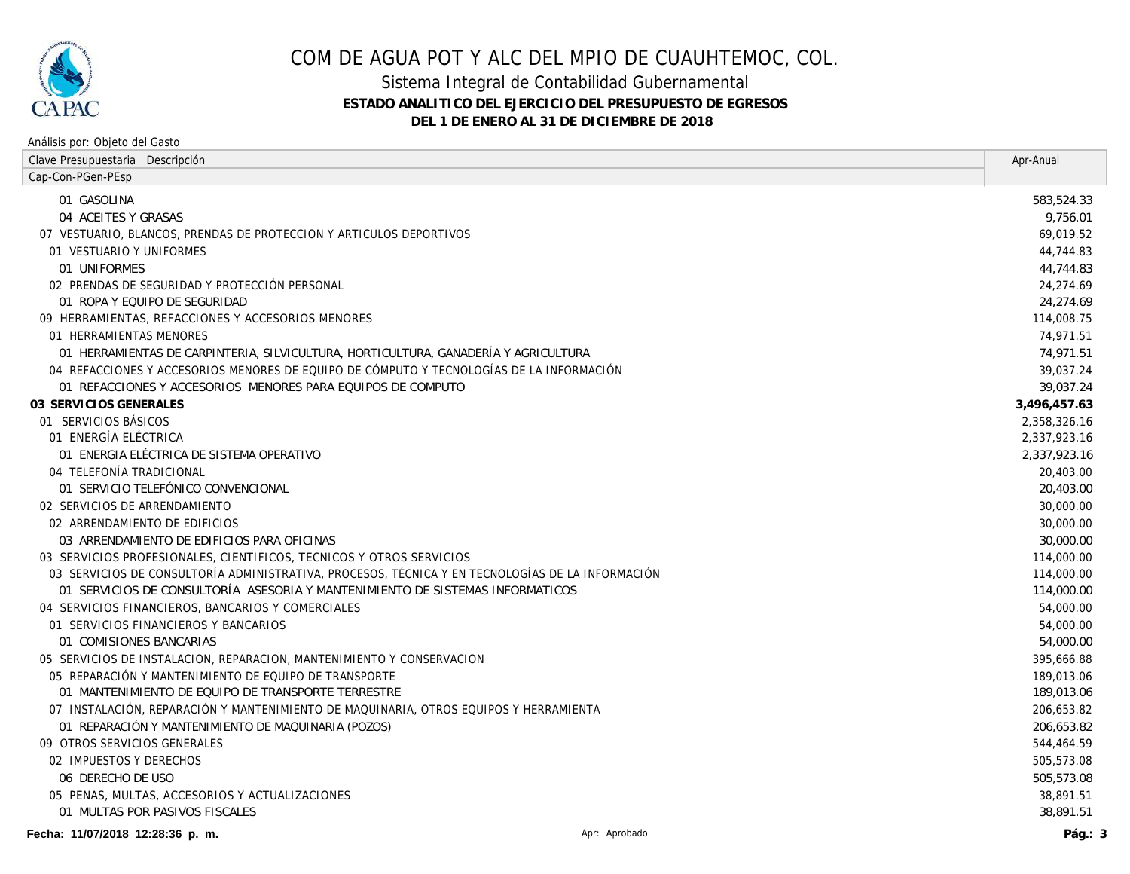

# COM DE AGUA POT Y ALC DEL MPIO DE CUAUHTEMOC, COL.

### Sistema Integral de Contabilidad Gubernamental **ESTADO ANALITICO DEL EJERCICIO DEL PRESUPUESTO DE EGRESOS DEL 1 DE ENERO AL 31 DE DICIEMBRE DE 2018**

#### Análisis por: Objeto del Gasto

| Clave Presupuestaria Descripción                                                                 |              |
|--------------------------------------------------------------------------------------------------|--------------|
| Cap-Con-PGen-PEsp                                                                                |              |
| 01 GASOLINA                                                                                      | 583,524.33   |
| 04 ACEITES Y GRASAS                                                                              | 9,756.01     |
| 07 VESTUARIO, BLANCOS, PRENDAS DE PROTECCION Y ARTICULOS DEPORTIVOS                              | 69,019.52    |
| 01 VESTUARIO Y UNIFORMES                                                                         | 44,744.83    |
| 01 UNIFORMES                                                                                     | 44,744.83    |
| 02 PRENDAS DE SEGURIDAD Y PROTECCIÓN PERSONAL                                                    | 24,274.69    |
| 01 ROPA Y EQUIPO DE SEGURIDAD                                                                    | 24,274.69    |
| 09 HERRAMIENTAS, REFACCIONES Y ACCESORIOS MENORES                                                | 114,008.75   |
| 01 HERRAMIENTAS MENORES                                                                          | 74,971.51    |
| 01 HERRAMIENTAS DE CARPINTERIA, SILVICULTURA, HORTICULTURA, GANADERÍA Y AGRICULTURA              | 74,971.51    |
| 04 REFACCIONES Y ACCESORIOS MENORES DE EQUIPO DE CÓMPUTO Y TECNOLOGÍAS DE LA INFORMACIÓN         | 39,037.24    |
| 01 REFACCIONES Y ACCESORIOS MENORES PARA EOUIPOS DE COMPUTO                                      | 39,037.24    |
| 03 SERVICIOS GENERALES                                                                           | 3,496,457.63 |
| 01 SERVICIOS BÁSICOS                                                                             | 2,358,326.16 |
| 01 ENERGÍA ELÉCTRICA                                                                             | 2,337,923.16 |
| 01 ENERGIA ELÉCTRICA DE SISTEMA OPERATIVO                                                        | 2,337,923.16 |
| 04 TELEFONÍA TRADICIONAL                                                                         | 20,403.00    |
| 01 SERVICIO TELEFÓNICO CONVENCIONAL                                                              | 20,403.00    |
| 02 SERVICIOS DE ARRENDAMIENTO                                                                    | 30,000.00    |
| 02 ARRENDAMIENTO DE EDIFICIOS                                                                    | 30,000.00    |
| 03 ARRENDAMIENTO DE EDIFICIOS PARA OFICINAS                                                      | 30,000.00    |
| 03 SERVICIOS PROFESIONALES, CIENTIFICOS, TECNICOS Y OTROS SERVICIOS                              | 114,000.00   |
| 03 SERVICIOS DE CONSULTORÍA ADMINISTRATIVA, PROCESOS, TÉCNICA Y EN TECNOLOGÍAS DE LA INFORMACIÓN | 114,000.00   |
| 01 SERVICIOS DE CONSULTORÍA ASESORIA Y MANTENIMIENTO DE SISTEMAS INFORMATICOS                    | 114,000.00   |
| 04 SERVICIOS FINANCIEROS, BANCARIOS Y COMERCIALES                                                | 54,000.00    |
| 01 SERVICIOS FINANCIEROS Y BANCARIOS                                                             | 54,000.00    |
| 01 COMISIONES BANCARIAS                                                                          | 54,000.00    |
| 05 SERVICIOS DE INSTALACION, REPARACION, MANTENIMIENTO Y CONSERVACION                            | 395,666.88   |
| 05 REPARACIÓN Y MANTENIMIENTO DE EQUIPO DE TRANSPORTE                                            | 189,013.06   |
| 01 MANTENIMIENTO DE EQUIPO DE TRANSPORTE TERRESTRE                                               | 189,013.06   |
| 07 INSTALACIÓN, REPARACIÓN Y MANTENIMIENTO DE MAQUINARIA, OTROS EQUIPOS Y HERRAMIENTA            | 206,653.82   |
| 01 REPARACIÓN Y MANTENIMIENTO DE MAQUINARIA (POZOS)                                              | 206,653.82   |
| 09 OTROS SERVICIOS GENERALES                                                                     | 544,464.59   |
| 02 IMPUESTOS Y DERECHOS                                                                          | 505,573.08   |
| 06 DERECHO DE USO                                                                                | 505,573.08   |
| 05 PENAS, MULTAS, ACCESORIOS Y ACTUALIZACIONES                                                   | 38,891.51    |
| 01 MULTAS POR PASIVOS FISCALES                                                                   | 38,891.51    |